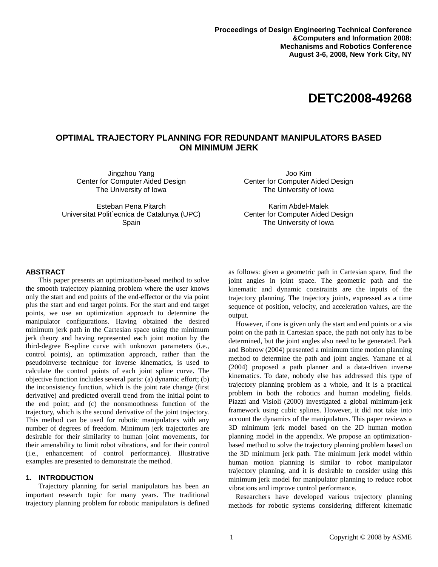# **DETC2008-49268**

## **OPTIMAL TRAJECTORY PLANNING FOR REDUNDANT MANIPULATORS BASED ON MINIMUM JERK**

Jingzhou Yang Center for Computer Aided Design The University of Iowa

Esteban Pena Pitarch Universitat Polit`ecnica de Catalunya (UPC) Spain

Joo Kim Center for Computer Aided Design The University of Iowa

Karim Abdel-Malek Center for Computer Aided Design The University of Iowa

## **ABSTRACT**

This paper presents an optimization-based method to solve the smooth trajectory planning problem where the user knows only the start and end points of the end-effector or the via point plus the start and end target points. For the start and end target points, we use an optimization approach to determine the manipulator configurations. Having obtained the desired minimum jerk path in the Cartesian space using the minimum jerk theory and having represented each joint motion by the third-degree B-spline curve with unknown parameters (i.e., control points), an optimization approach, rather than the pseudoinverse technique for inverse kinematics, is used to calculate the control points of each joint spline curve. The objective function includes several parts: (a) dynamic effort; (b) the inconsistency function, which is the joint rate change (first derivative) and predicted overall trend from the initial point to the end point; and (c) the nonsmoothness function of the trajectory, which is the second derivative of the joint trajectory. This method can be used for robotic manipulators with any number of degrees of freedom. Minimum jerk trajectories are desirable for their similarity to human joint movements, for their amenability to limit robot vibrations, and for their control (i.e., enhancement of control performance). Illustrative examples are presented to demonstrate the method.

## **1. INTRODUCTION**

 Trajectory planning for serial manipulators has been an important research topic for many years. The traditional trajectory planning problem for robotic manipulators is defined

as follows: given a geometric path in Cartesian space, find the joint angles in joint space. The geometric path and the kinematic and dynamic constraints are the inputs of the trajectory planning. The trajectory joints, expressed as a time sequence of position, velocity, and acceleration values, are the output.

However, if one is given only the start and end points or a via point on the path in Cartesian space, the path not only has to be determined, but the joint angles also need to be generated. Park and Bobrow (2004) presented a minimum time motion planning method to determine the path and joint angles. Yamane et al (2004) proposed a path planner and a data-driven inverse kinematics. To date, nobody else has addressed this type of trajectory planning problem as a whole, and it is a practical problem in both the robotics and human modeling fields. Piazzi and Visioli (2000) investigated a global minimum-jerk framework using cubic splines. However, it did not take into account the dynamics of the manipulators. This paper reviews a 3D minimum jerk model based on the 2D human motion planning model in the appendix. We propose an optimizationbased method to solve the trajectory planning problem based on the 3D minimum jerk path. The minimum jerk model within human motion planning is similar to robot manipulator trajectory planning, and it is desirable to consider using this minimum jerk model for manipulator planning to reduce robot vibrations and improve control performance.

Researchers have developed various trajectory planning methods for robotic systems considering different kinematic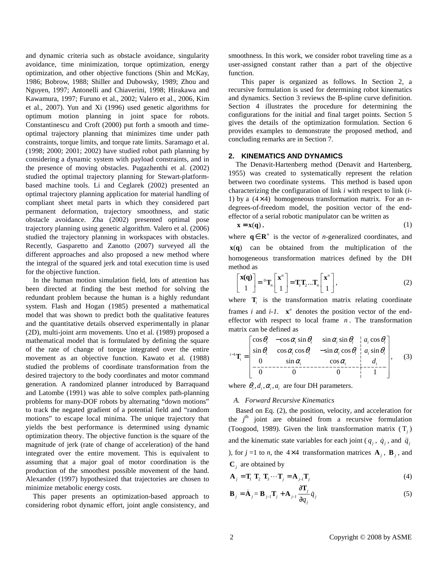and dynamic criteria such as obstacle avoidance, singularity avoidance, time minimization, torque optimization, energy optimization, and other objective functions (Shin and McKay, 1986; Bobrow, 1988; Shiller and Dubowsky, 1989; Zhou and Nguyen, 1997; Antonelli and Chiaverini, 1998; Hirakawa and Kawamura, 1997; Furuno et al., 2002; Valero et al., 2006, Kim et al., 2007). Yun and Xi (1996) used genetic algorithms for optimum motion planning in joint space for robots. Constantinescu and Croft (2000) put forth a smooth and timeoptimal trajectory planning that minimizes time under path constraints, torque limits, and torque rate limits. Saramago et al. (1998; 2000; 2001; 2002) have studied robot path planning by considering a dynamic system with payload constraints, and in the presence of moving obstacles. Pugazhenthi et al. (2002) studied the optimal trajectory planning for Stewart-platformbased machine tools. Li and Ceglarek (2002) presented an optimal trajectory planning application for material handling of compliant sheet metal parts in which they considered part permanent deformation, trajectory smoothness, and static obstacle avoidance. Zha (2002) presented optimal pose trajectory planning using genetic algorithm. Valero et al. (2006) studied the trajectory planning in workspaces with obstacles. Recently, Gasparetto and Zanotto (2007) surveyed all the different approaches and also proposed a new method where the integral of the squared jerk and total execution time is used for the objective function.

In the human motion simulation field, lots of attention has been directed at finding the best method for solving the redundant problem because the human is a highly redundant system. Flash and Hogan (1985) presented a mathematical model that was shown to predict both the qualitative features and the quantitative details observed experimentally in planar (2D), multi-joint arm movements. Uno et al. (1989) proposed a mathematical model that is formulated by defining the square of the rate of change of torque integrated over the entire movement as an objective function. Kawato et al*.* (1988) studied the problems of coordinate transformation from the desired trajectory to the body coordinates and motor command generation. A randomized planner introduced by Barraquand and Latombe (1991) was able to solve complex path-planning problems for many-DOF robots by alternating "down motions" to track the negated gradient of a potential field and "random motions" to escape local minima. The unique trajectory that yields the best performance is determined using dynamic optimization theory. The objective function is the square of the magnitude of jerk (rate of change of acceleration) of the hand integrated over the entire movement. This is equivalent to assuming that a major goal of motor coordination is the production of the smoothest possible movement of the hand. Alexander (1997) hypothesized that trajectories are chosen to minimize metabolic energy costs.

This paper presents an optimization-based approach to considering robot dynamic effort, joint angle consistency, and

smoothness. In this work, we consider robot traveling time as a user-assigned constant rather than a part of the objective function.

This paper is organized as follows. In Section 2, a recursive formulation is used for determining robot kinematics and dynamics. Section 3 reviews the B-spline curve definition. Section 4 illustrates the procedure for determining the configurations for the initial and final target points. Section 5 gives the details of the optimization formulation. Section 6 provides examples to demonstrate the proposed method, and concluding remarks are in Section 7.

## **2. KINEMATICS AND DYNAMICS**

The Denavit-Hartenberg method (Denavit and Hartenberg, 1955) was created to systematically represent the relation between two coordinate systems. This method is based upon characterizing the configuration of link *i* with respect to link (*i*-1) by a  $(4 \times 4)$  homogeneous transformation matrix. For an *n*degrees-of-freedom model, the position vector of the endeffector of a serial robotic manipulator can be written as

 $x = x(q)$ , (1)

where  $\mathbf{q} \in \mathbf{R}^n$  is the vector of *n*-generalized coordinates, and  $x(q)$  can be obtained from the multiplication of the homogeneous transformation matrices defined by the DH method as

$$
\begin{bmatrix} \mathbf{x}(\mathbf{q}) \\ 1 \end{bmatrix} = {}^{0}\mathbf{T}_{n} \begin{bmatrix} \mathbf{x}^{n} \\ 1 \end{bmatrix} = \mathbf{T}_{1} \mathbf{T}_{2} ... \mathbf{T}_{n} \begin{bmatrix} \mathbf{x}^{n} \\ 1 \end{bmatrix},
$$
\n(2)

where  $\mathbf{T}_i$  is the transformation matrix relating coordinate frames *i* and  $i-1$ .  $\mathbf{x}^n$  denotes the position vector of the endeffector with respect to local frame *n* . The transformation matrix can be defined as

$$
{}^{i-1}\mathbf{T}_i = \begin{bmatrix} \cos\theta_i & -\cos\alpha_i \sin\theta_i & \sin\alpha_i \sin\theta_i & a_i \cos\theta_i \\ \sin\theta_i & \cos\alpha_i \cos\theta_i & -\sin\alpha_i \cos\theta_i & a_i \sin\theta_i \\ 0 & \sin\alpha_i & \cos\alpha_i & d_i \\ \hline 0 & 0 & 0 & 1 \end{bmatrix}, \quad (3)
$$

where  $\theta_i$ ,  $d_i$ ,  $\alpha_i$ , are four DH parameters.

#### *A. Forward Recursive Kinematics*

Based on Eq. (2), the position, velocity, and acceleration for the  $j<sup>th</sup>$  joint are obtained from a recursive formulation (Toogood, 1989). Given the link transformation matrix  $(T_j)$ and the kinematic state variables for each joint ( $q_j$ ,  $\dot{q}_j$ , and  $\ddot{q}_j$ ), for  $j = 1$  to *n*, the 4×4 transformation matrices  $A_j$ ,  $B_j$ , and  $\mathbf{C}_j$  are obtained by

$$
\mathbf{A}_{j} = \mathbf{T}_{1} \mathbf{T}_{2} \mathbf{T}_{3} \cdots \mathbf{T}_{j} = \mathbf{A}_{j-1} \mathbf{T}_{j}
$$
 (4)

$$
\mathbf{B}_{j} = \dot{\mathbf{A}}_{j} = \mathbf{B}_{j \cdot j} \mathbf{T}_{j} + \mathbf{A}_{j \cdot j} \frac{\partial \mathbf{T}_{j}}{\partial q_{j}} \dot{q}_{j}
$$
(5)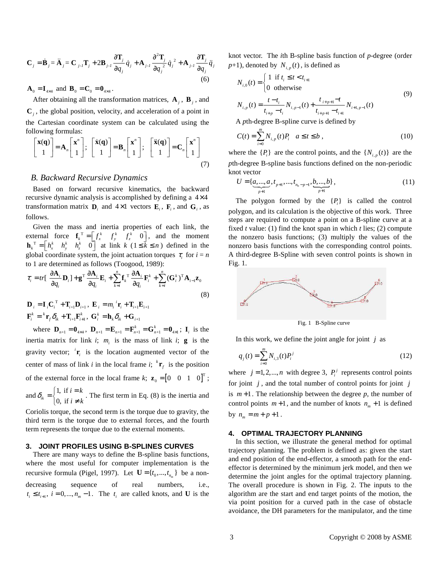$$
\mathbf{C}_{j} = \dot{\mathbf{B}}_{j} = \ddot{\mathbf{A}}_{j} = \mathbf{C}_{j} \cdot \mathbf{T}_{j} + 2\mathbf{B}_{j} \cdot \frac{\partial \mathbf{T}_{j}}{\partial q_{j}} \dot{q}_{j} + \mathbf{A}_{j} \cdot \frac{\partial^{2} \mathbf{T}_{j}}{\partial q_{j}^{2}} \dot{q}_{j}^{2} + \mathbf{A}_{j} \cdot \frac{\partial \mathbf{T}_{j}}{\partial q_{j}} \ddot{q}_{j}
$$
\n(6)

 $A_0 = I_{4 \times 4}$  and  $B_0 = C_0 = 0_{4 \times 4}$ .

After obtaining all the transformation matrices,  $A_j$ ,  $B_j$ , and  $\mathbf{C}_j$ , the global position, velocity, and acceleration of a point in the Cartesian coordinate system can be calculated using the following formulas:

$$
\begin{bmatrix} \mathbf{x}(\mathbf{q}) \\ 1 \end{bmatrix} = \mathbf{A}_n \begin{bmatrix} \mathbf{x}^n \\ 1 \end{bmatrix}; \quad \begin{bmatrix} \dot{\mathbf{x}}(\mathbf{q}) \\ 1 \end{bmatrix} = \mathbf{B}_n \begin{bmatrix} \mathbf{x}^n \\ 1 \end{bmatrix}; \quad \begin{bmatrix} \ddot{\mathbf{x}}(\mathbf{q}) \\ 1 \end{bmatrix} = \mathbf{C}_n \begin{bmatrix} \mathbf{x}^n \\ 1 \end{bmatrix}
$$
\n(7)

## *B. Backward Recursive Dynamics*

Based on forward recursive kinematics, the backward recursive dynamic analysis is accomplished by defining a  $4 \times 4$ transformation matrix  $\mathbf{D}_i$  and  $4 \times 1$  vectors  $\mathbf{E}_i$ ,  $\mathbf{F}_i$ , and  $\mathbf{G}_i$ , as follows.

Given the mass and inertia properties of each link, the external force  $\mathbf{f}_k^T = \begin{bmatrix} f_x^k & f_y^k & f_z^k & 0 \end{bmatrix}$ , and the moment  $\mathbf{h}_k^T = \begin{bmatrix} h_x^k & h_y^k & h_z^k & 0 \end{bmatrix}$  at link  $k$  ( $1 \le k \le n$ ) defined in the global coordinate system, the joint actuation torques  $\tau_i$  for  $i = n$ to 1 are determined as follows (Toogood, 1989):

$$
\tau_{i} = tr\left[\frac{\partial \mathbf{A}_{i}}{\partial q_{i}} \mathbf{D}_{i}\right] + \mathbf{g}^{T} \frac{\partial \mathbf{A}_{i}}{\partial q_{i}} \mathbf{E}_{i} + \sum_{k=i}^{n} \mathbf{f}_{k}^{T} \frac{\partial \mathbf{A}_{i}}{\partial q_{i}} \mathbf{F}_{i}^{k} + \sum_{k=i}^{n} (\mathbf{G}_{i}^{k})^{T} \mathbf{A}_{i-1} \mathbf{z}_{0}
$$
\n
$$
\mathbf{D}_{i} = \mathbf{I}_{i} \mathbf{C}_{i}^{T} + \mathbf{T}_{i+1} \mathbf{D}_{i+1}, \ \mathbf{E}_{i} = m_{i}^{T} \mathbf{r}_{i} + \mathbf{T}_{i+1} \mathbf{E}_{i+1}
$$
\n(8)

 ${\bf F}^k_i = {}^k {\bf r}_{f} \delta_{ik} + {\bf T}_{i+1} {\bf F}^k_{i+1}, {\bf G}^k_i = {\bf h}_{k} \delta_{ik} + {\bf G}_{i+1}$ 

where  $\mathbf{D}_{n+1} = \mathbf{0}_{4 \times 4}$ ,  $\mathbf{D}_{n+1} = \mathbf{E}_{n+1} = \mathbf{F}_{n+1}^k = \mathbf{G}_{n+1}^k = \mathbf{0}_{4 \times 1}$ ;  $\mathbf{I}_i$  is the inertia matrix for link *i*;  $m_i$  is the mass of link *i*; **g** is the gravity vector;  ${}^{i}$ **r**<sub>*i*</sub> is the location augmented vector of the center of mass of link *i* in the local frame *i*;  ${}^k\mathbf{r}_f$  is the position of the external force in the local frame *k*;  $\mathbf{z}_0 = \begin{bmatrix} 0 & 0 & 1 & 0 \end{bmatrix}^T$ ; and  $\delta_{ik} = \begin{cases} 1, & \text{if } \\ 0, & \text{if } \end{cases}$  $\binom{ik}{k}$  0, if  $i = k$  $\delta_{ik} = \begin{cases} 1, & \text{if } i = k \\ 0, & \text{if } i \neq k \end{cases}$ . The first term in Eq. (8) is the inertia and

Coriolis torque, the second term is the torque due to gravity, the third term is the torque due to external forces, and the fourth term represents the torque due to the external moments.

#### **3. JOINT PROFILES USING B-SPLINES CURVES**

There are many ways to define the B-spline basis functions, where the most useful for computer implementation is the recursive formula (Pigel, 1997). Let  $\mathbf{U} = \{t_0, ..., t_{n_m}\}\)$  be a nondecreasing sequence of real numbers, i.e.,  $t_i \leq t_{i+1}$ ,  $i = 0, \dots, n_m - 1$ . The  $t_i$  are called knots, and **U** is the knot vector. The *i*th B-spline basis function of *p*-degree (order  $p+1$ ), denoted by  $N_{i,p}(t)$ , is defined as

$$
N_{i,0}(t) = \begin{cases} 1 & \text{if } t_i \le t < t_{i+1} \\ 0 & \text{otherwise} \end{cases}
$$
  
\n
$$
N_{i,p}(t) = \frac{t - t_i}{t_{i+p} - t_i} N_{i,p-1}(t) + \frac{t_{i+p+1} - t}{t_{i+p+1} - t_{i+1}} N_{i+1,p-1}(t)
$$
\n(9)

A *p*th-degree B-spline curve is defined by

$$
C(t) = \sum_{i=0}^{m} N_{i,p}(t)P_i \quad a \le t \le b \tag{10}
$$

where the  $\{P_i\}$  are the control points, and the  $\{N_{i,p}(t)\}$  are the *p*th-degree B-spline basis functions defined on the non-periodic knot vector

$$
U = \{ \underbrace{a, ..., a}_{p+1}, t_{p+1}, ..., t_{n_n-p-1}, \underbrace{b, ..., b}_{p+1} \},
$$
\n(11)

The polygon formed by the  $\{P_i\}$  is called the control polygon, and its calculation is the objective of this work. Three steps are required to compute a point on a B-spline curve at a fixed *t* value: (1) find the knot span in which *t* lies; (2) compute the nonzero basis functions; (3) multiply the values of the nonzero basis functions with the corresponding control points. A third-degree B-Spline with seven control points is shown in Fig. 1.



Fig. 1 B-Spline curve

In this work, we define the joint angle for joint *j* as

$$
q_j(t) = \sum_{i=0}^{m} N_{i,3}(t) P_i^j
$$
 (12)

where  $j = 1, 2, \dots, n$  with degree 3,  $P_i^j$  represents control points for joint *j* , and the total number of control points for joint *j* is  $m+1$ . The relationship between the degree  $p$ , the number of control points  $m+1$ , and the number of knots  $n_m + 1$  is defined by  $n_m = m + p + 1$ .

### **4. OPTIMAL TRAJECTORY PLANNING**

In this section, we illustrate the general method for optimal trajectory planning. The problem is defined as: given the start and end position of the end-effector, a smooth path for the endeffector is determined by the minimum jerk model, and then we determine the joint angles for the optimal trajectory planning. The overall procedure is shown in Fig. 2. The inputs to the algorithm are the start and end target points of the motion, the via point position for a curved path in the case of obstacle avoidance, the DH parameters for the manipulator, and the time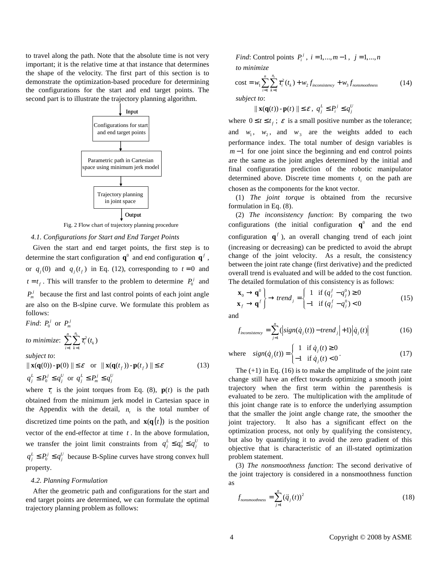to travel along the path. Note that the absolute time is not very important; it is the relative time at that instance that determines the shape of the velocity. The first part of this section is to demonstrate the optimization-based procedure for determining the configurations for the start and end target points. The second part is to illustrate the trajectory planning algorithm.



Fig. 2 Flow chart of trajectory planning procedure

## *4.1. Configurations for Start and End Target Points*

Given the start and end target points, the first step is to determine the start configuration  $\mathbf{q}^0$  and end configuration  $\mathbf{q}^f$ , or  $q_j(0)$  and  $q_j(t_f)$  in Eq. (12), corresponding to  $t = 0$  and  $t = t_f$ . This will transfer to the problem to determine  $P_0^j$  and  $P_m^j$  because the first and last control points of each joint angle are also on the B-slpine curve. We formulate this problem as follows:

*Find*:  $P_0^j$  or  $P_m^j$ to minimize:  $\sum \sum \tau_i^2$  $1 k=1$  $\sum_{i=1}^{n} \sum_{i=1}^{n} \tau_i^2(t_k)$  $\sum_{i=1}$   $\sum_{k=1}$   $\sum_{i=1}^{k}$  $\tau_i^2(t)$  $\sum_{i=1}^{n} \sum_{k=1}^{n}$ 

*subject to*:

 $|| \mathbf{x}(\mathbf{q}(0)) - \mathbf{p}(0) || \leq \varepsilon$  or  $|| \mathbf{x}(\mathbf{q}(t_f)) - \mathbf{p}(t_f) || \leq \varepsilon$  (13)  $q_j^L \leq P_0^j \leq q_j^U$  or  $q_j^L \leq P_m^j \leq q_j^U$ 

where  $\tau_i$  is the joint torques from Eq. (8),  $\mathbf{p}(t)$  is the path obtained from the minimum jerk model in Cartesian space in the Appendix with the detail,  $n_i$  is the total number of discretized time points on the path, and  $\mathbf{x}(\mathbf{q}(t))$  is the position vector of the end-effector at time *t* . In the above formulation, we transfer the joint limit constraints from  $q_j^L \leq q_0^j \leq q_j^U$  to  $q_j^L \leq P_0^j \leq q_j^U$  because B-Spline curves have strong convex hull property.

#### *4.2. Planning Formulation*

After the geometric path and configurations for the start and end target points are determined, we can formulate the optimal trajectory planning problem as follows:

*Find*: Control points  $P_i^j$ ,  $i = 1,..., m-1$ ,  $j = 1,..., n$ *to minimize*

cost = 
$$
w_1 \sum_{i=1}^{n} \sum_{k=1}^{n_i} \tau_i^2(t_k) + w_2 f_{inconsistency} + w_3 f_{nonsmoothness}
$$
 (14)  
subject to:

$$
\| \mathbf{x}(\mathbf{q}(t)) \cdot \mathbf{p}(t) \| \leq \varepsilon \,,\, q_j^L \leq P_i^j \leq q_j^U
$$

where  $0 \le t \le t_f$ ;  $\varepsilon$  is a small positive number as the tolerance; and  $w_1$ ,  $w_2$ , and  $w_3$  are the weights added to each performance index. The total number of design variables is *m* −1 for one joint since the beginning and end control points are the same as the joint angles determined by the initial and final configuration prediction of the robotic manipulator determined above. Discrete time moments  $t_i$  on the path are chosen as the components for the knot vector.

(1) *The joint torque* is obtained from the recursive formulation in Eq. (8).

(2) *The inconsistency function*: By comparing the two configurations (the initial configuration  $\mathbf{q}^0$  and the end configuration  $\mathbf{q}^f$ ), an overall changing trend of each joint (increasing or decreasing) can be predicted to avoid the abrupt change of the joint velocity. As a result, the consistency between the joint rate change (first derivative) and the predicted overall trend is evaluated and will be added to the cost function. The detailed formulation of this consistency is as follows:

$$
\begin{aligned} \mathbf{x}_0 &\rightarrow \mathbf{q}^0 \\ \mathbf{x}_f &\rightarrow \mathbf{q}^f \end{aligned} \right\} \rightarrow trend_j = \begin{cases} 1 & \text{if } (q_j^f - q_j^0) \ge 0 \\ -1 & \text{if } (q_j^f - q_j^0) < 0 \end{cases} \tag{15}
$$

and

$$
f_{\text{inconsistency}} = \sum_{j=1}^{n} \left( \left| sign(\dot{q}_j(t)) - trend_j \right| + 1 \right) \left| \dot{q}_j(t) \right| \tag{16}
$$

where 1 if  $\dot{q}_i(t) \ge 0$  $(\dot{q}_j(t)) = \begin{cases} 1 & \text{if } \dot{q}_j(t) < 0 \\ -1 & \text{if } \dot{q}_j(t) < 0 \end{cases}$ *j*  $j^{(\ell)}$ <sup>-1</sup> if  $\dot{q}_j$  $\dot{q}$ <sub>i</sub> $(t)$  $sign(\dot{q}_i(t)) = \begin{cases} 1 & \text{if } \dot{q}_i(t) \end{cases}$  $=\begin{cases} 1 & \text{if } \dot{q}_j(t) \ge 0 \\ -1 & \text{if } \dot{q}_j(t) < 0 \end{cases}$ &  $\dot{q}_j(t)$  =  $\begin{cases} 1 & \text{if } q \\ -1 & \text{if } q \end{cases}$  $(17)$ 

The  $(+1)$  in Eq. (16) is to make the amplitude of the joint rate change still have an effect towards optimizing a smooth joint trajectory when the first term within the parenthesis is evaluated to be zero. The multiplication with the amplitude of this joint change rate is to enforce the underlying assumption that the smaller the joint angle change rate, the smoother the joint trajectory. It also has a significant effect on the optimization process, not only by qualifying the consistency, but also by quantifying it to avoid the zero gradient of this objective that is characteristic of an ill-stated optimization problem statement.

(3) *The nonsmoothness function*: The second derivative of the joint trajectory is considered in a nonsmoothness function as

$$
f_{nonsmoothness} = \sum_{j=1}^{n} (\ddot{q}_j(t))^2
$$
 (18)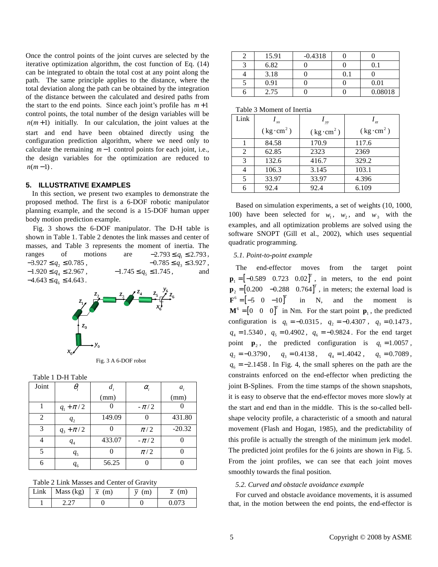Once the control points of the joint curves are selected by the iterative optimization algorithm, the cost function of Eq. (14) can be integrated to obtain the total cost at any point along the path. The same principle applies to the distance, where the total deviation along the path can be obtained by the integration of the distance between the calculated and desired paths from the start to the end points. Since each joint's profile has  $m+1$ control points, the total number of the design variables will be  $n(m+1)$  initially. In our calculation, the joint values at the start and end have been obtained directly using the configuration prediction algorithm, where we need only to calculate the remaining *m* −1 control points for each joint, i.e., the design variables for the optimization are reduced to  $n(m-1)$ .

#### **5. ILLUSTRATIVE EXAMPLES**

 In this section, we present two examples to demonstrate the proposed method. The first is a 6-DOF robotic manipulator planning example, and the second is a 15-DOF human upper body motion prediction example.

Fig. 3 shows the 6-DOF manipulator. The D-H table is shown in Table 1. Table 2 denotes the link masses and center of masses, and Table 3 represents the moment of inertia. The ranges of motions are  $-2.793 \le q_1 \le 2.793$ ,<br> $-3.927 \le q_2 \le 0.785$ ,  $-0.785 \le q_3 \le 3.927$ ,  $-0.785 \le q_3 \le 3.927$ ,<br>-1.745  $\le q_5 \le 1.745$ , and  $-1.920 \le q_4 \le 2.967$ ,  $-1.745 \le q_5 \le 1.745$ , and  $-4.643 \le q_6 \le 4.643$ .



Fig. 3 A 6-DOF robot

| Table 1 D-H Table |                                 |        |            |          |  |
|-------------------|---------------------------------|--------|------------|----------|--|
| Joint             | $\theta_{\scriptscriptstyle i}$ | $d_i$  | $\alpha_i$ | $a_i$    |  |
|                   |                                 | (mm)   |            | (mm)     |  |
|                   | $q_1 + \pi/2$                   |        | $-\pi/2$   |          |  |
| $\mathfrak{D}$    | $q_{2}$                         | 149.09 |            | 431.80   |  |
| 3                 | $q_3 + \pi/2$                   |        | $\pi/2$    | $-20.32$ |  |
|                   | $q_{4}$                         | 433.07 | $-\pi/2$   |          |  |
| 5                 | q <sub>5</sub>                  |        | $\pi/2$    |          |  |
| 6                 | $q_{6}$                         | 56.25  |            |          |  |

Table 2 Link Masses and Center of Gravity

| Link | Mass (kg) | $\overline{x}$ (m) | (m)<br>$\mathbf{v}$ | (m)   |
|------|-----------|--------------------|---------------------|-------|
|      |           |                    |                     | በ በ73 |

| 15.91 | $-0.4318$ |     |         |
|-------|-----------|-----|---------|
| 6.82  |           |     |         |
| 3.18  |           | 0.1 |         |
| 0.91  |           |     | 0.01    |
| 2.75  |           |     | 0.08018 |

Table 3 Moment of Inertia

| Link | xx                            | $\rightarrow$ yy              | $\frac{1}{27}$                |
|------|-------------------------------|-------------------------------|-------------------------------|
|      | $(\text{kg}\cdot\text{cm}^2)$ | $(\text{kg}\cdot\text{cm}^2)$ | $(\text{kg}\cdot\text{cm}^2)$ |
|      | 84.58                         | 170.9                         | 117.6                         |
| 2    | 62.85                         | 2323                          | 2369                          |
| 3    | 132.6                         | 416.7                         | 329.2                         |
| 4    | 106.3                         | 3.145                         | 103.1                         |
| 5    | 33.97                         | 33.97                         | 4.396                         |
| 6    | 92.4                          | 92.4                          | 6.109                         |

Based on simulation experiments, a set of weights (10, 1000, 100) have been selected for  $w_1$ ,  $w_2$ , and  $w_3$  with the examples, and all optimization problems are solved using the software SNOPT (Gill et al., 2002), which uses sequential quadratic programming.

## *5.1. Point-to-point example*

The end-effector moves from the target point  $\mathbf{p}_1 = \begin{bmatrix} -0.589 & 0.723 & 0.02 \end{bmatrix}^T$ , in meters, to the end point  $\mathbf{p}_2 = \begin{bmatrix} 0.200 & -0.288 & 0.764 \end{bmatrix}^T$ , in meters; the external load is  $\mathbf{F}^6 = \begin{bmatrix} -5 & 0 & -10 \end{bmatrix}^T$  in N, and the moment is  $\mathbf{M}^6 = \begin{bmatrix} 0 & 0 & 0 \end{bmatrix}^T$  in Nm. For the start point  $\mathbf{p}_1$ , the predicted configuration is  $q_1 = -0.0315$ ,  $q_2 = -0.4307$ ,  $q_3 = 0.1473$ ,  $q_4 = 1.5340$ ,  $q_5 = 0.4902$ ,  $q_6 = -0.9824$ . For the end target point  $\mathbf{p}_2$ , the predicted configuration is  $q_1 = 1.0057$ ,  $q_2 = -0.3790$ ,  $q_3 = 0.4138$ ,  $q_4 = 1.4042$ ,  $q_5 = 0.7089$ ,  $q_6 = -2.1458$ . In Fig. 4, the small spheres on the path are the constraints enforced on the end-effector when predicting the joint B-Splines. From the time stamps of the shown snapshots, it is easy to observe that the end-effector moves more slowly at the start and end than in the middle. This is the so-called bellshape velocity profile, a characteristic of a smooth and natural movement (Flash and Hogan, 1985), and the predictability of this profile is actually the strength of the minimum jerk model. The predicted joint profiles for the 6 joints are shown in Fig. 5. From the joint profiles, we can see that each joint moves smoothly towards the final position.

#### *5.2. Curved and obstacle avoidance example*

For curved and obstacle avoidance movements, it is assumed that, in the motion between the end points, the end-effector is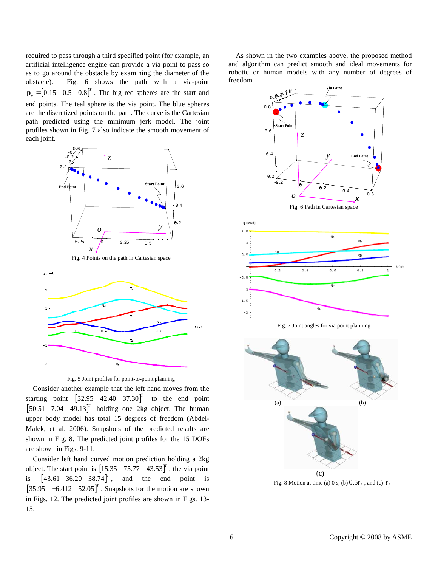required to pass through a third specified point (for example, an artificial intelligence engine can provide a via point to pass so as to go around the obstacle by examining the diameter of the obstacle). Fig. 6 shows the path with a via-point  $\mathbf{p}_{v} = \begin{bmatrix} 0.15 & 0.5 & 0.8 \end{bmatrix}^{T}$ . The big red spheres are the start and end points. The teal sphere is the via point. The blue spheres are the discretized points on the path. The curve is the Cartesian path predicted using the minimum jerk model. The joint profiles shown in Fig. 7 also indicate the smooth movement of each joint.



Fig. 4 Points on the path in Cartesian space





Consider another example that the left hand moves from the starting point  $\begin{bmatrix} 32.95 & 42.40 & 37.30 \end{bmatrix}^T$  to the end point  $\begin{bmatrix} 50.51 & 7.04 & 49.13 \end{bmatrix}^T$  holding one 2kg object. The human upper body model has total 15 degrees of freedom (Abdel-Malek, et al. 2006). Snapshots of the predicted results are shown in Fig. 8. The predicted joint profiles for the 15 DOFs are shown in Figs. 9-11.

Consider left hand curved motion prediction holding a 2kg object. The start point is  $\begin{bmatrix} 15.35 & 75.77 & 43.53 \end{bmatrix}^T$ , the via point is  $[43.61 \ 36.20 \ 38.74]^T$ , and the end point is  $\begin{bmatrix} 35.95 & -6.412 & 52.05 \end{bmatrix}^T$ . Snapshots for the motion are shown in Figs. 12. The predicted joint profiles are shown in Figs. 13- 15.

As shown in the two examples above, the proposed method and algorithm can predict smooth and ideal movements for robotic or human models with any number of degrees of freedom.



Fig. 8 Motion at time (a) 0 s, (b)  $0.5t_f$ , and (c)  $t_f$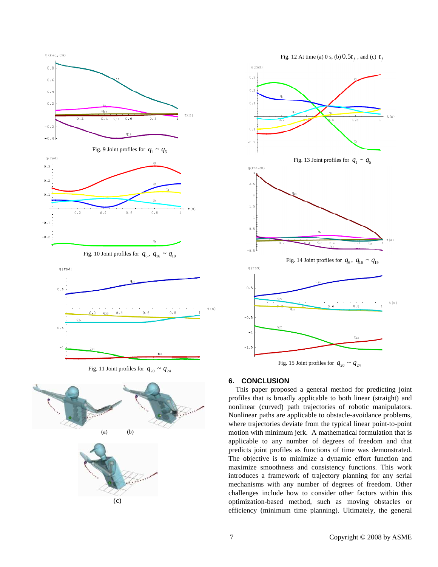

Fig. 11 Joint profiles for  $q_{20} \sim q_{24}$ 





## **6. CONCLUSION**

This paper proposed a general method for predicting joint profiles that is broadly applicable to both linear (straight) and nonlinear (curved) path trajectories of robotic manipulators. Nonlinear paths are applicable to obstacle-avoidance problems, where trajectories deviate from the typical linear point-to-point motion with minimum jerk. A mathematical formulation that is applicable to any number of degrees of freedom and that predicts joint profiles as functions of time was demonstrated. The objective is to minimize a dynamic effort function and maximize smoothness and consistency functions. This work introduces a framework of trajectory planning for any serial mechanisms with any number of degrees of freedom. Other challenges include how to consider other factors within this optimization-based method, such as moving obstacles or efficiency (minimum time planning). Ultimately, the general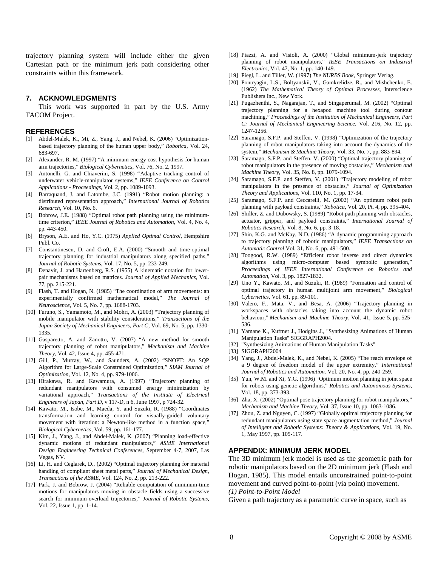trajectory planning system will include either the given Cartesian path or the minimum jerk path considering other constraints within this framework.

## **7. ACKNOWLEDGMENTS**

This work was supported in part by the U.S. Army TACOM Project.

#### **REFERENCES**

- [1] Abdel-Malek, K., Mi, Z., Yang, J., and Nebel, K. (2006) "Optimizationbased trajectory planning of the human upper body," *Robotica*, Vol. 24, 683-697.
- [2] Alexander, R. M. (1997) "A minimum energy cost hypothesis for human arm trajectories," *Biological Cybernetics*, Vol. 76, No. 2, 1997.
- [3] Antonelli, G. and Chiaverini, S. (1998) "Adaptive tracking control of underwater vehicle-manipulator systems," *IEEE Conference on Control Applications - Proceedings*, Vol. 2, pp. 1089-1093.
- [4] Barraquand, J. and Latombe, J.C. (1991) "Robot motion planning: a distributed representation approach," *International Journal of Robotics Research*, Vol. 10, No. 6.
- [5] Bobrow, J.E. (1988) "Optimal robot path planning using the minimumtime criterion," *IEEE Journal of Robotics and Automation*, Vol. 4, No. 4, pp. 443-450.
- [6] Bryson, A.E. and Ho, Y.C. (1975) *Applied Optimal Control*, Hempshire Publ. Co.
- [7] Constantinescu, D. and Croft, E.A. (2000) "Smooth and time-optimal trajectory planning for industrial manipulators along specified paths," *Journal of Robotic Systems*, Vol. 17, No. 5, pp. 233-249.
- [8] Denavit, J. and Hartenberg, R.S. (1955) A kinematic notation for lowerpair mechanisms based on matrices. *Journal of Applied Mechanics*, Vol. 77, pp. 215-221.
- [9] Flash, T. and Hogan, N. (1985) "The coordination of arm movements: an experimentally confirmed mathematical model," *The Journal of Neuroscience*, Vol. 5, No. 7, pp. 1688-1703.
- [10] Furuno, S., Yamamoto, M., and Mohri, A. (2003) "Trajectory planning of mobile manipulator with stability considerations," *Transactions of the Japan Society of Mechanical Engineers, Part C*, Vol. 69, No. 5, pp. 1330- 1335.
- [11] Gasparetto, A. and Zanotto, V. (2007) "A new method for smooth trajectory planning of robot manipulators," *Mechanism and Machine Theory*, Vol. 42, Issue 4, pp. 455-471.
- [12] Gill, P., Murray, W., and Saunders, A. (2002) "SNOPT: An SQP Algorithm for Large-Scale Constrained Optimization," *SIAM Journal of Optimization*, Vol. 12, No. 4, pp. 979-1006.
- [13] Hirakawa, R. and Kawamura, A. (1997) "Trajectory planning of redundant manipulators with consumed energy minimization by variational approach," *Transactions of the Institute of Electrical Engineers of Japan, Part D*, v 117-D, n 6, June 1997, p 724-32.
- [14] Kawato, M., Isobe, M., Maeda, Y. and Suzuki, R. (1988) "Coordinates transformation and learning control for visually-guided voluntary movement with iteration: a Newton-like method in a function space,' *Biological Cybernetics*, Vol. 59, pp. 161-177.
- [15] Kim, J., Yang, J., and Abdel-Malek, K. (2007) "Planning load-effective dynamic motions of redundant manipulators," *ASME International Design Engineering Technical Conferences*, September 4-7, 2007, Las Vegas, NV.
- [16] Li, H. and Ceglarek, D., (2002) "Optimal trajectory planning for material handling of compliant sheet metal parts," *Journal of Mechanical Design, Transactions of the ASME*, Vol. 124, No. 2, pp. 213-222.
- [17] Park, J. and Bobrow, J. (2004) "Reliable computation of minimum-time motions for manipulators moving in obstacle fields using a successive search for minimum-overload trajectories," *Journal of Robotic Systems*, Vol. 22, Issue 1, pp. 1-14.
- [18] Piazzi, A. and Visioli, A. (2000) "Global minimum-jerk trajectory planning of robot manipulators," *IEEE Transactions on Industrial Electronics*, Vol. 47, No. 1, pp. 140-149.
- [19] Piegl, L. and Tiller, W. (1997) *The NURBS Book*, Springer Verlag.
- [20] Pontryagin, L.S., Boltyanskii, V., Gamkrelidze, R., and Mishchenko, E. (1962) *The Mathematical Theory of Optimal Processes*, Interscience Publishers Inc., New York.
- [21] Pugazhenthi, S., Nagarajan, T., and Singaperumal, M. (2002) "Optimal trajectory planning for a hexapod machine tool during contour machining," *Proceedings of the Institution of Mechanical Engineers, Part C: Journal of Mechanical Engineering Science*, Vol. 216, No. 12, pp. 1247-1256.
- [22] Saramago, S.F.P. and Steffen, V. (1998) "Optimization of the trajectory planning of robot manipulators taking into account the dynamics of the system," *Mechanism & Machine Theory*, Vol. 33, No. 7, pp. 883-894.
- [23] Saramago, S.F.P. and Steffen, V. (2000) "Optimal trajectory planning of robot manipulators in the presence of moving obstacles," *Mechanism and Machine Theory*, Vol. 35, No. 8, pp. 1079-1094.
- [24] Saramago, S.F.P. and Steffen, V. (2001) "Trajectory modeling of robot manipulators in the presence of obstacles," *Journal of Optimization Theory and Applications*, Vol. 110, No. 1, pp. 17-34.
- [25] Saramago, S.F.P. and Ceccarelli, M. (2002) "An optimum robot path planning with payload constraints," *Robotica*, Vol. 20, Pt. 4, pp. 395-404.
- [26] Shiller, Z. and Dubowsky, S. (1989) "Robot path planning with obstacles, actuator, gripper, and payload constraints," *International Journal of Robotics Research*, Vol. 8, No. 6, pp. 3-18.
- [27] Shin, K.G. and McKay, N.D. (1986) "A dynamic programming approach to trajectory planning of robotic manipulators," *IEEE Transactions on Automatic Control* Vol. 31, No. 6, pp. 491-500.
- [28] Toogood, R.W. (1989) "Efficient robot inverse and direct dynamics algorithms using micro-computer based symbolic generation," *Proceedings of IEEE International Conference on Robotics and Automation*, Vol. 3, pp. 1827-1832.
- [29] Uno Y., Kawato, M., and Suzuki, R. (1989) "Formation and control of optimal trajectory in human multijoint arm movement," *Biological Cybernetics*, Vol. 61, pp. 89-101.
- [30] Valero, F., Mata. V., and Besa, A. (2006) "Trajectory planning in workspaces with obstacles taking into account the dynamic robot behaviour," *Mechanism and Machine Theory*, Vol. 41, Issue 5, pp. 525- 536.
- [31] Yamane K., Kuffner J., Hodgins J., "Synthesizing Animations of Human Manipulation Tasks" SIGGRAPH2004.
- [32] "Synthesizing Animations of Human Manipulation Tasks"
- [33] SIGGRAPH2004
- [34] Yang, J., Abdel-Malek, K., and Nebel, K. (2005) "The reach envelope of a 9 degree of freedom model of the upper extremity," *International Journal of Robotics and Automation.* Vol. 20, No. 4, pp. 240-259.
- [35] Yun, W.M. and Xi, Y.G. (1996) "Optimum motion planning in joint space for robots using genetic algorithms," *Robotics and Autonomous Systems*, Vol. 18, pp. 373-393.
- [36] Zha, X. (2002) "Optimal pose trajectory planning for robot manipulators," *Mechanism and Machine Theory*, Vol. 37, Issue 10, pp. 1063-1086.
- [37] Zhou, Z. and Nguyen, C. (1997) "Globally optimal trajectory planning for redundant manipulators using state space augmentation method," *Journal of Intelligent and Robotic Systems: Theory & Applications*, Vol. 19, No. 1, May 1997, pp. 105-117.

#### **APPENDIX: MINIMUM JERK MODEL**

The 3D minimum jerk model is used as the geometric path for robotic manipulators based on the 2D minimum jerk (Flash and Hogan, 1985). This model entails unconstrained point-to-point movement and curved point-to-point (via point) movement. *(1) Point-to-Point Model* 

Given a path trajectory as a parametric curve in space, such as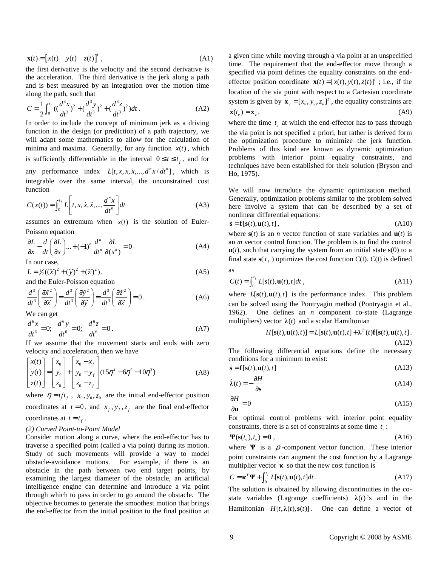$$
\mathbf{x}(t) = \begin{bmatrix} x(t) & y(t) & z(t) \end{bmatrix}^T,
$$
 (A1)

the first derivative is the velocity and the second derivative is the acceleration. The third derivative is the jerk along a path and is best measured by an integration over the motion time along the path, such that

$$
C = \frac{1}{2} \int_0^{t_f} \left( \frac{d^3 x}{dt^3} \right)^2 + \left( \frac{d^3 y}{dt^3} \right)^2 + \left( \frac{d^3 z}{dt^3} \right)^2) dt \tag{A2}
$$

In order to include the concept of minimum jerk as a driving function in the design (or prediction) of a path trajectory, we will adapt some mathematics to allow for the calculation of minima and maxima. Generally, for any function  $x(t)$ , which is sufficiently differentiable in the interval  $0 \le t \le t_{\epsilon}$ , and for any performance index  $L[t, x, \dot{x}, \ddot{x}, ..., d^n x / dt^n]$ , which is integrable over the same interval, the unconstrained cost function

$$
C(x(t)) = \int_0^{t_f} L\left[t, x, \dot{x}, \ddot{x}, ..., \frac{d^n x}{dt^n}\right] dt
$$
 (A3)

assumes an extremum when  $x(t)$  is the solution of Euler-Poisson equation

$$
\frac{\partial L}{\partial x} - \frac{d}{dt} \left( \frac{\partial L}{\partial x} \right) ... + (-1)^n \frac{d^n}{dt^n} \frac{\partial L}{\partial (x^n)} = 0.
$$
 (A4)

In our case,

$$
L = \frac{1}{2}((\ddot{x})^2 + (\ddot{y})^2 + (\ddot{z})^2),
$$
  
and the Euler-Poisson equation (A5)

$$
\frac{d^3}{dt^3} \left( \frac{\partial \ddot{x}^2}{\partial \ddot{x}} \right) = \frac{d^3}{dt^3} \left( \frac{\partial \ddot{y}^2}{\partial \ddot{y}} \right) = \frac{d^3}{dt^3} \left( \frac{\partial \ddot{z}^2}{\partial \ddot{z}} \right) = 0.
$$
 (A6)

We can get

$$
\frac{d^6x}{dt^6} = 0; \quad \frac{d^6y}{dt^6} = 0; \quad \frac{d^6z}{dt^6} = 0.
$$
 (A7)

If we assume that the movement starts and ends with zero velocity and acceleration, then we have

$$
\begin{bmatrix} x(t) \\ y(t) \\ z(t) \end{bmatrix} = \begin{bmatrix} x_0 \\ y_0 \\ z_0 \end{bmatrix} + \begin{bmatrix} x_0 - x_f \\ y_0 - y_f \\ z_0 - z_f \end{bmatrix} (15\eta^4 - 6\eta^5 - 10\eta^3)
$$
 (A8)

where  $\eta = t/t_f$ ,  $x_0, y_0, z_0$  are the initial end-effector position coordinates at  $t = 0$ , and  $x_t$ ,  $y_t$ ,  $z_t$  are the final end-effector coordinates at  $t = t_f$ .

#### *(2) Curved Point-to-Point Model*

Consider motion along a curve, where the end-effector has to traverse a specified point (called a via point) during its motion. Study of such movements will provide a way to model obstacle-avoidance motions. For example, if there is an obstacle in the path between two end target points, by examining the largest diameter of the obstacle, an artificial intelligence engine can determine and introduce a via point through which to pass in order to go around the obstacle. The objective becomes to generate the smoothest motion that brings the end-effector from the initial position to the final position at a given time while moving through a via point at an unspecified time. The requirement that the end-effector move through a specified via point defines the equality constraints on the endeffector position coordinate  $\mathbf{x}(t) = [x(t), y(t), z(t)]^T$ ; i.e., if the location of the via point with respect to a Cartesian coordinate system is given by  $\mathbf{x}_{y} = [x_{y}, y_{y}, z_{y}]^{T}$ , the equality constraints are  $\mathbf{x}(t_n) = \mathbf{x}_n,$  (A9)

where the time  $t_v$  at which the end-effector has to pass through the via point is not specified a priori, but rather is derived form the optimization procedure to minimize the jerk function. Problems of this kind are known as dynamic optimization problems with interior point equality constraints, and techniques have been established for their solution (Bryson and Ho, 1975).

We will now introduce the dynamic optimization method. Generally, optimization problems similar to the problem solved here involve a system that can be described by a set of nonlinear differential equations:

$$
\dot{\mathbf{s}} = \mathbf{f}[\mathbf{s}(t), \mathbf{u}(t), t],\tag{A10}
$$

where  $s(t)$  is an *n* vector function of state variables and  $u(t)$  is an *m* vector control function. The problem is to find the control **, such that carrying the system from an initial state**  $**s**(0)$  **to a** final state  $\mathbf{s}(t_f)$  optimizes the cost function  $C(t)$ .  $C(t)$  is defined as

$$
C(t) = \int_0^{t_f} L[\mathbf{s}(t), \mathbf{u}(t), t] dt,
$$
\n(A11)

where  $L[s(t), u(t), t]$  is the performance index. This problem can be solved using the Pontryagin method (Pontryagin et al., 1962). One defines an *n* component co-state (Lagrange multipliers) vector  $\lambda(t)$  and a scalar Hamiltonian

$$
H[\mathbf{s}(t), \mathbf{u}(t), t] = L[\mathbf{s}(t), \mathbf{u}(t), t] + \lambda^{T}(t)\mathbf{f}[\mathbf{s}(t), \mathbf{u}(t), t].
$$
\n(A12)

The following differential equations define the necessary conditions for a minimum to exist:

$$
\dot{\mathbf{s}} = \mathbf{f}[\mathbf{s}(t), \mathbf{u}(t), t] \tag{A13}
$$

$$
\dot{\lambda}(t) = -\frac{\partial H}{\partial s} \tag{A14}
$$

$$
\frac{\partial H}{\partial \mathbf{u}} = 0\tag{A15}
$$

For optimal control problems with interior point equality constraints, there is a set of constraints at some time  $t<sub>v</sub>$ :

$$
\Psi(\mathbf{s}(t_v), t_v) = \mathbf{0} \tag{A16}
$$

where  $\Psi$  is a  $\rho$ -component vector function. These interior point constraints can augment the cost function by a Lagrange multiplier vector  $\kappa$  so that the new cost function is

$$
C = \mathbf{\kappa}^T \mathbf{\Psi} + \int_0^{t_f} L[\mathbf{s}(t), \mathbf{u}(t), t] dt.
$$
 (A17)

The solution is obtained by allowing discontinuities in the costate variables (Lagrange coefficients)  $\lambda(t)$ 's and in the Hamiltonian  $H[t, \lambda(t), s(t)]$ . One can define a vector of